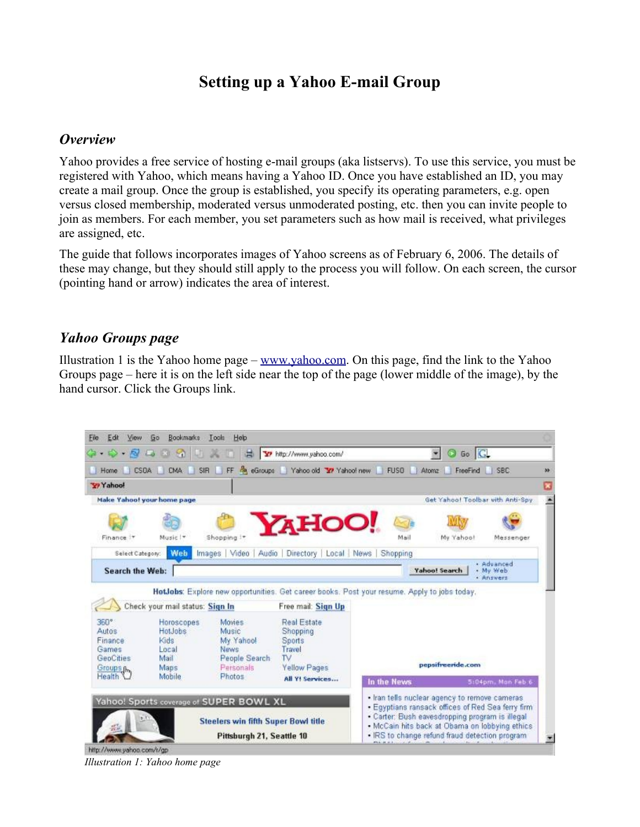# **Setting up a Yahoo E-mail Group**

#### *Overview*

Yahoo provides a free service of hosting e-mail groups (aka listservs). To use this service, you must be registered with Yahoo, which means having a Yahoo ID. Once you have established an ID, you may create a mail group. Once the group is established, you specify its operating parameters, e.g. open versus closed membership, moderated versus unmoderated posting, etc. then you can invite people to join as members. For each member, you set parameters such as how mail is received, what privileges are assigned, etc.

The guide that follows incorporates images of Yahoo screens as of February 6, 2006. The details of these may change, but they should still apply to the process you will follow. On each screen, the cursor (pointing hand or arrow) indicates the area of interest.

#### *Yahoo Groups page*

Illustration 1 is the Yahoo home page –  $\frac{www.yahoo.com}{n}$ . On this page, find the link to the Yahoo Groups page – here it is on the left side near the top of the page (lower middle of the image), by the hand cursor. Click the Groups link.



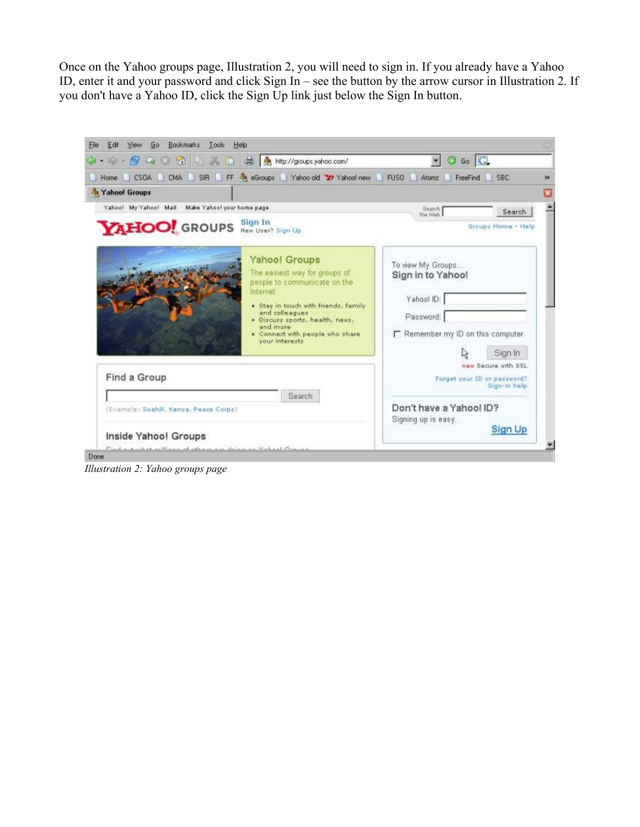Once on the Yahoo groups page, Illustration 2, you will need to sign in. If you already have a Yahoo ID, enter it and your password and click Sign In – see the button by the arrow cursor in Illustration 2. If you don't have a Yahoo ID, click the Sign Up link just below the Sign In button.



*Illustration 2: Yahoo groups page*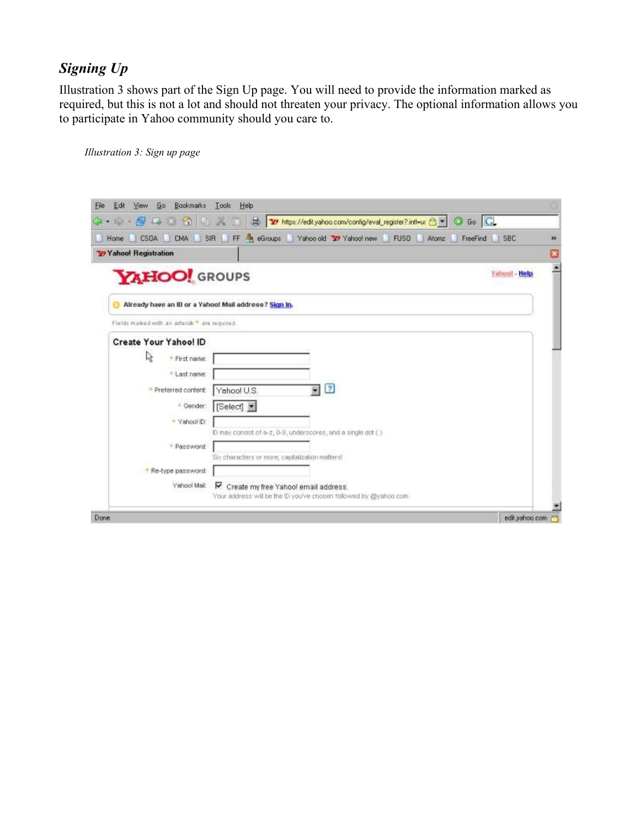# *Signing Up*

Illustration 3 shows part of the Sign Up page. You will need to provide the information marked as required, but this is not a lot and should not threaten your privacy. The optional information allows you to participate in Yahoo community should you care to.

| 8000<br>$+$ 10 $+$                                    | To https://edit.yahoo.com/config/eval_register?.intl=u: 8 = 0 Go C<br>m |    |
|-------------------------------------------------------|-------------------------------------------------------------------------|----|
| CSDA CMA<br>Home                                      | SIR FF & eGroups Yahoo old Y/ Yahoo! new FUSD Atomz<br>FreeFind<br>SBC: | 33 |
| <b>Y</b> Yahoo! Registration                          |                                                                         |    |
| YAHOO! GROUPS                                         | Yahoo! - Help<br>w                                                      |    |
| Already have an ID or a Yahoo! Mail address? Sign In. |                                                                         |    |
| Fields maked with an asterisk * are required.         |                                                                         |    |
| Create Your Yahoo! ID                                 |                                                                         |    |
| r,<br>* First name:                                   |                                                                         |    |
| + Last name:                                          |                                                                         |    |
| * Preferred content:                                  | $\overline{r}$<br>۷<br>Yahool U.S.                                      |    |
| * Gender:                                             | [Select]                                                                |    |
| · Yahoo! ID:                                          |                                                                         |    |
|                                                       | D may consist of s-z, 0-9, underscores, and a single dot (.)            |    |
| * Password:                                           |                                                                         |    |
|                                                       | Six characters or more; capitalization matters!                         |    |
| * Re-type password:                                   |                                                                         |    |
|                                                       | ▽<br>Create my free Yahoo! email address.                               |    |
| Yahool Mail:                                          |                                                                         |    |
|                                                       | Your address will be the ID you've chosen tollowed by @yahoo.com.       |    |

*Illustration 3: Sign up page*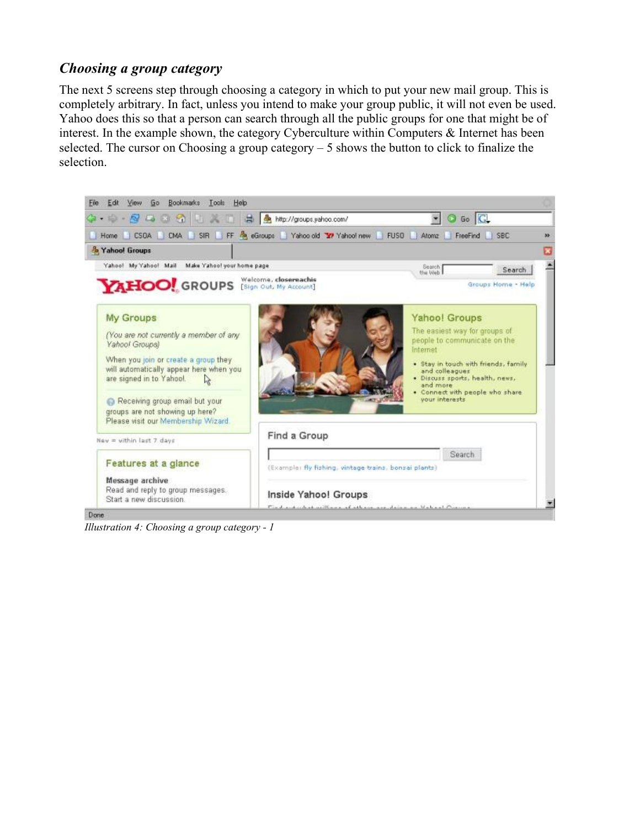### *Choosing a group category*

The next 5 screens step through choosing a category in which to put your new mail group. This is completely arbitrary. In fact, unless you intend to make your group public, it will not even be used. Yahoo does this so that a person can search through all the public groups for one that might be of interest. In the example shown, the category Cyberculture within Computers & Internet has been selected. The cursor on Choosing a group category – 5 shows the button to click to finalize the selection.



*Illustration 4: Choosing a group category - 1*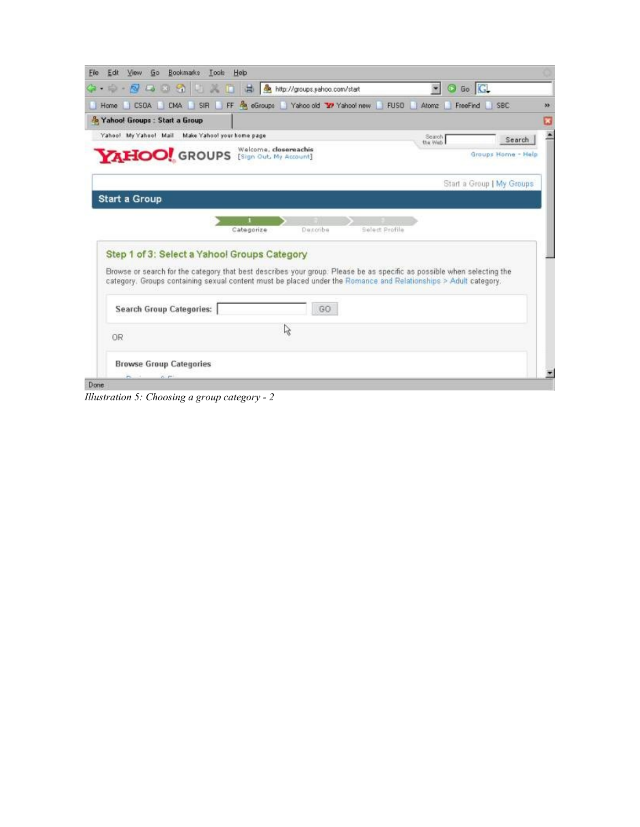| ☆ - 2 □ 3 3 1   【 】 A http://groups.yahoo.com/start                                                                                                                                                                                                                                       |                            | O Go G<br>$\bullet$       |                    |
|-------------------------------------------------------------------------------------------------------------------------------------------------------------------------------------------------------------------------------------------------------------------------------------------|----------------------------|---------------------------|--------------------|
| Home CSDA CMA SIR FF May eGroups Yahoo old To Yahoo! new FUSD Atomz                                                                                                                                                                                                                       |                            | FreeFind SBC              |                    |
| & Yahoo! Groups : Start a Group                                                                                                                                                                                                                                                           |                            |                           |                    |
| Yahoo! My Yahoo! Mail Make Yahoo! your home page                                                                                                                                                                                                                                          |                            | Search<br>the Web         | Search             |
| <b>YAHOO!</b> GROUPS [Sign Out, My Account]                                                                                                                                                                                                                                               |                            |                           | Groups Home - Help |
|                                                                                                                                                                                                                                                                                           |                            | Start a Group   My Groups |                    |
| Start a Group                                                                                                                                                                                                                                                                             |                            |                           |                    |
| Categorize                                                                                                                                                                                                                                                                                | Select Profile<br>Decoribe |                           |                    |
| Step 1 of 3: Select a Yahoo! Groups Category<br>Browse or search for the category that best describes your group. Please be as specific as possible when selecting the<br>category. Groups containing sexual content must be placed under the Romance and Relationships > Adult category. |                            |                           |                    |
| <b>Search Group Categories:</b>                                                                                                                                                                                                                                                           | GO                         |                           |                    |
| 0R                                                                                                                                                                                                                                                                                        | 陉                          |                           |                    |

*Illustration 5: Choosing a group category - 2*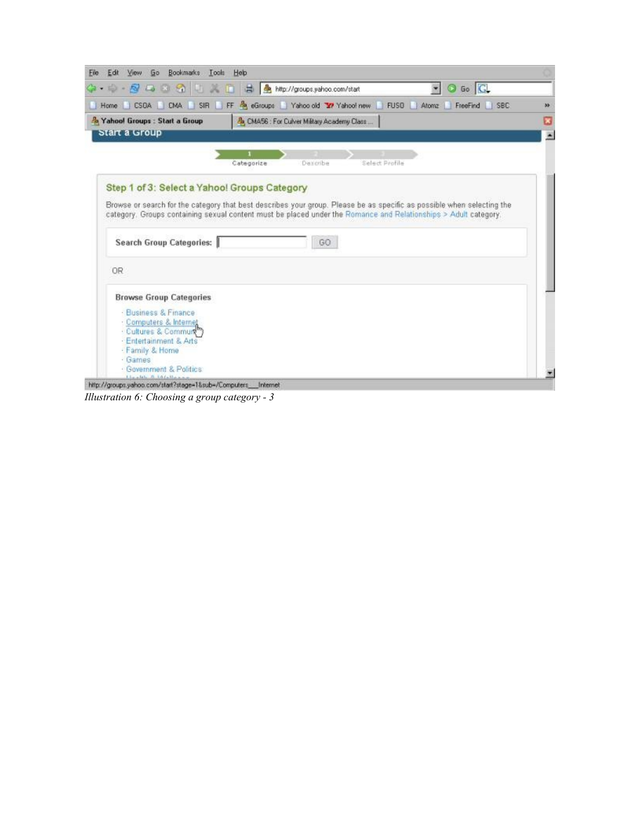| Go Bookmarks Tools Help<br>Edit<br><b>View</b><br>File:                                                                                                                              |                                                                                                                                                                                                                                                 |    |
|--------------------------------------------------------------------------------------------------------------------------------------------------------------------------------------|-------------------------------------------------------------------------------------------------------------------------------------------------------------------------------------------------------------------------------------------------|----|
|                                                                                                                                                                                      | Ca → 中 → 包 ロ ヨ の   山 ズ 白   昌   ▲ http://groups.yahoo.com/start<br>O Go G<br>$\bullet$                                                                                                                                                           |    |
|                                                                                                                                                                                      | Home CSDA CMA SIR FF & eGroups Yahoo old Y Yahoo! new<br>FUSO Atoma<br>FreeFind SBC                                                                                                                                                             | 33 |
| Xahool Groups : Start a Group<br>Start a Group                                                                                                                                       | & CMA56 : For Culver Military Academy Class                                                                                                                                                                                                     |    |
|                                                                                                                                                                                      | Select Profile<br>Categorize<br>Describe                                                                                                                                                                                                        |    |
| Step 1 of 3: Select a Yahoo! Groups Category                                                                                                                                         |                                                                                                                                                                                                                                                 |    |
| Search Group Categories:                                                                                                                                                             | Browse or search for the category that best describes your group. Please be as specific as possible when selecting the<br>category. Groups containing sexual content must be placed under the Romance and Relationships > Adult category.<br>GO |    |
| 0R                                                                                                                                                                                   |                                                                                                                                                                                                                                                 |    |
| <b>Browse Group Categories</b>                                                                                                                                                       |                                                                                                                                                                                                                                                 |    |
| · Business & Finance<br>Computers & Internet<br>Cultures & Commun <sup>m</sup><br>Entertainment & Arts<br>Family & Home<br>Games<br>Government & Politics<br>Linetale B. LO Callaine |                                                                                                                                                                                                                                                 |    |

*Illustration 6: Choosing a group category - 3*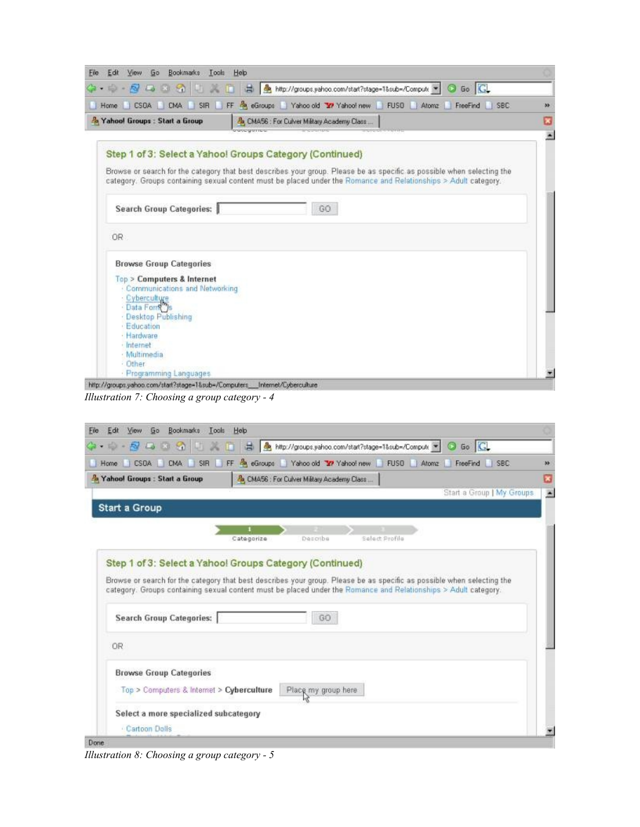| Bookmarks<br>60<br>Edit<br><b>View</b><br>Eile         | Look Help                                                                                                              |  |
|--------------------------------------------------------|------------------------------------------------------------------------------------------------------------------------|--|
| $C_1$ . $D_2$ . $D_3$ . $D_4$ . $D_5$<br><b>ARTISE</b> | A http://groups.yahoo.com/start?stage=1⊂=/Compute . G Go G                                                             |  |
| SIR<br>CSDA CMA<br>Home<br>u                           | FF & eGroups Yahoo old Y/ Yahoo! new FUSO Atomz<br>FreeFind SBC                                                        |  |
| & Yahoo! Groups : Start a Group                        | & CMA56 : For Culver Military Academy Class                                                                            |  |
|                                                        | <b>POSTERING</b>                                                                                                       |  |
|                                                        | Step 1 of 3: Select a Yahoo! Groups Category (Continued)                                                               |  |
|                                                        |                                                                                                                        |  |
|                                                        | Browse or search for the category that best describes your group. Please be as specific as possible when selecting the |  |
|                                                        | category. Groups containing sexual content must be placed under the Romance and Relationships > Adult category.        |  |
|                                                        |                                                                                                                        |  |
| Search Group Categories:                               | GO                                                                                                                     |  |
|                                                        |                                                                                                                        |  |
|                                                        |                                                                                                                        |  |
| <b>OR</b>                                              |                                                                                                                        |  |
|                                                        |                                                                                                                        |  |
| <b>Browse Group Categories</b>                         |                                                                                                                        |  |
| <b>Top &gt; Computers &amp; Internet</b>               |                                                                                                                        |  |
| Communications and Networking                          |                                                                                                                        |  |
| Cyberculture                                           |                                                                                                                        |  |
| Data Fons                                              |                                                                                                                        |  |
| Desktop Publishing                                     |                                                                                                                        |  |
| Education                                              |                                                                                                                        |  |
| · Hardware                                             |                                                                                                                        |  |
| Internet                                               |                                                                                                                        |  |
| Multimedia                                             |                                                                                                                        |  |
| Other                                                  |                                                                                                                        |  |
| · Programming Languages                                |                                                                                                                        |  |

*Illustration 7: Choosing a group category - 4*

| SIR<br><b>CMA</b><br><b>CSDA</b><br>Home                                    | FF & eGroups Yahoo old Y Yahoo! new<br>FUSO Atomz<br>FreeFind SBC                                                                                                                                                                               |  |
|-----------------------------------------------------------------------------|-------------------------------------------------------------------------------------------------------------------------------------------------------------------------------------------------------------------------------------------------|--|
| Xahool Groups : Start a Group                                               | Ro. CMA56 : For Culver Military Academy Class                                                                                                                                                                                                   |  |
|                                                                             | Start a Group   My Groups                                                                                                                                                                                                                       |  |
| <b>Start a Group</b>                                                        |                                                                                                                                                                                                                                                 |  |
|                                                                             | Describe<br>Select Profile<br>Categorize                                                                                                                                                                                                        |  |
|                                                                             | Step 1 of 3: Select a Yahoo! Groups Category (Continued)                                                                                                                                                                                        |  |
| <b>Search Group Categories:</b>                                             | Browse or search for the category that best describes your group. Please be as specific as possible when selecting the<br>category. Groups containing sexual content must be placed under the Romance and Relationships > Adult category.<br>GO |  |
| 0R                                                                          |                                                                                                                                                                                                                                                 |  |
| <b>Browse Group Categories</b><br>Top > Computers & Internet > Cyberculture | Place my group here                                                                                                                                                                                                                             |  |

*Illustration 8: Choosing a group category - 5*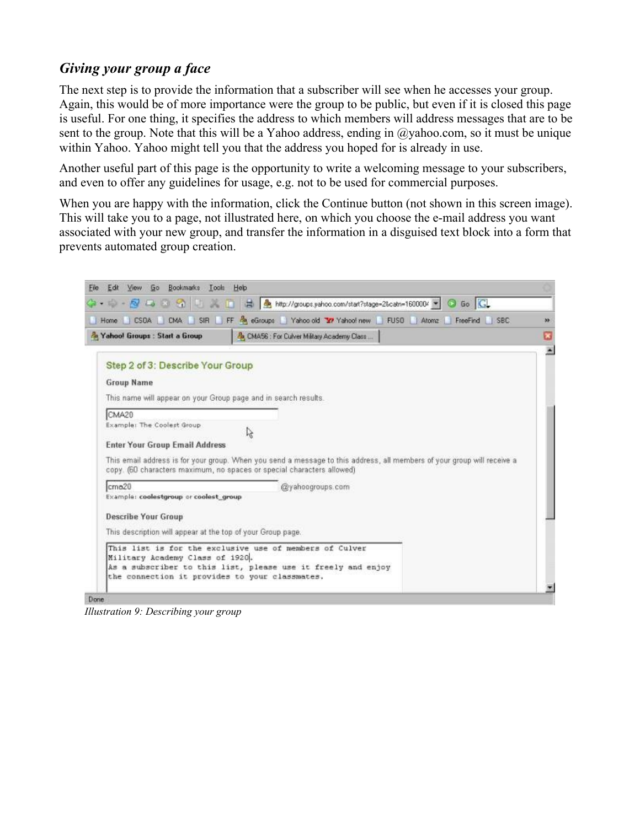## *Giving your group a face*

The next step is to provide the information that a subscriber will see when he accesses your group. Again, this would be of more importance were the group to be public, but even if it is closed this page is useful. For one thing, it specifies the address to which members will address messages that are to be sent to the group. Note that this will be a Yahoo address, ending in @yahoo.com, so it must be unique within Yahoo. Yahoo might tell you that the address you hoped for is already in use.

Another useful part of this page is the opportunity to write a welcoming message to your subscribers, and even to offer any guidelines for usage, e.g. not to be used for commercial purposes.

When you are happy with the information, click the Continue button (not shown in this screen image). This will take you to a page, not illustrated here, on which you choose the e-mail address you want associated with your new group, and transfer the information in a disguised text block into a form that prevents automated group creation.



*Illustration 9: Describing your group*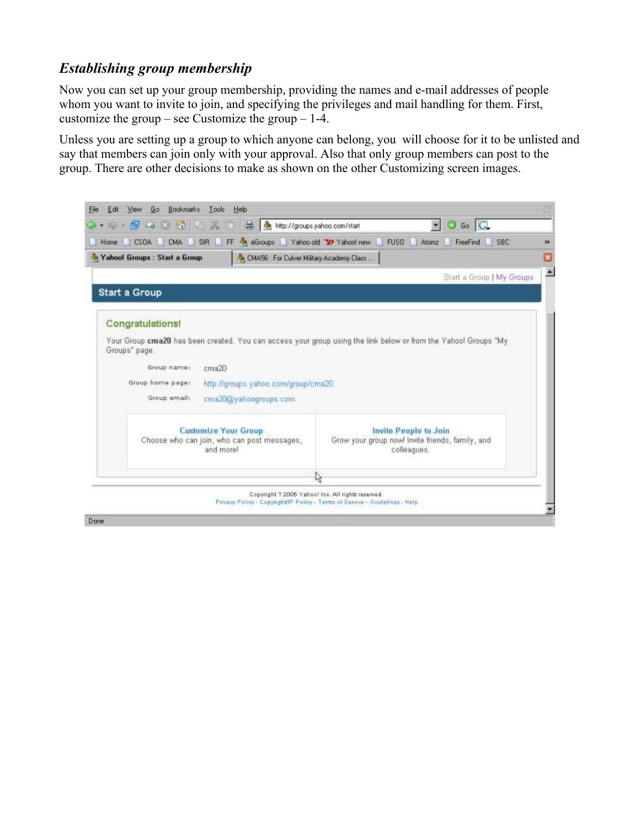## *Establishing group membership*

Now you can set up your group membership, providing the names and e-mail addresses of people whom you want to invite to join, and specifying the privileges and mail handling for them. First, customize the group – see Customize the group –  $1-4$ .

Unless you are setting up a group to which anyone can belong, you will choose for it to be unlisted and say that members can join only with your approval. Also that only group members can post to the group. There are other decisions to make as shown on the other Customizing screen images.

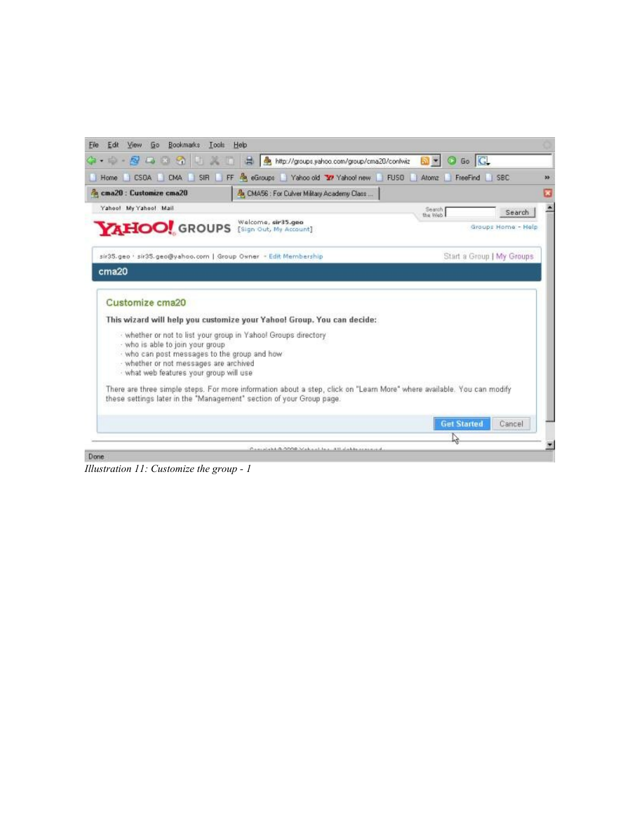| Bookmarks Tools Help<br>View.<br>Go<br>Edit<br>File                                                                                                                                                                                                                                                                                                                                                                                                            |                        |                           |
|----------------------------------------------------------------------------------------------------------------------------------------------------------------------------------------------------------------------------------------------------------------------------------------------------------------------------------------------------------------------------------------------------------------------------------------------------------------|------------------------|---------------------------|
| 第一章 图 四 图 图 美国 昌 <mark>鱼 http://groups.yahoo.com/group/cma20/confwiz</mark>                                                                                                                                                                                                                                                                                                                                                                                    | Go G<br>৯ -<br>$\odot$ |                           |
| Home CSDA CMA SIR FF & eGroups Yahoo old Y Yahoo new FUSD                                                                                                                                                                                                                                                                                                                                                                                                      | Atomz<br>FreeFind      | <b>SBC</b>                |
| a cma20 : Customize cma20<br>& CMA56 : For Culver Military Academy Class                                                                                                                                                                                                                                                                                                                                                                                       |                        |                           |
| Yahoo! My Yahoo! Mail                                                                                                                                                                                                                                                                                                                                                                                                                                          | Search<br>the Web      | Search                    |
| Welcome, sir35.geo<br>YAHOO! GROUPS<br>[Sign Out, My Account]                                                                                                                                                                                                                                                                                                                                                                                                  |                        | Groups Home: - Help       |
| sir35.geo · sir35.geo@yahoo.com   Group Owner - Edit Membership                                                                                                                                                                                                                                                                                                                                                                                                |                        | Start a Group   My Groups |
| cma20                                                                                                                                                                                                                                                                                                                                                                                                                                                          |                        |                           |
| Customize cma20<br>This wizard will help you customize your Yahoo! Group. You can decide:<br>- whether or not to list your group in Yahoo! Groups directory<br>- who is able to join your group<br>· who can post messages to the group and how<br>- whether or not messages are archived<br>· what web features your group will use<br>There are three simple steps. For more information about a step, click on "Learn More" where available. You can modify |                        |                           |
| these settings later in the "Management" section of your Group page.                                                                                                                                                                                                                                                                                                                                                                                           | <b>Get Started</b>     | Cancel                    |
|                                                                                                                                                                                                                                                                                                                                                                                                                                                                |                        |                           |
| Computable G. 0000 Make al la s .- All stable manages<br>Done                                                                                                                                                                                                                                                                                                                                                                                                  |                        |                           |

*Illustration 11: Customize the group - 1*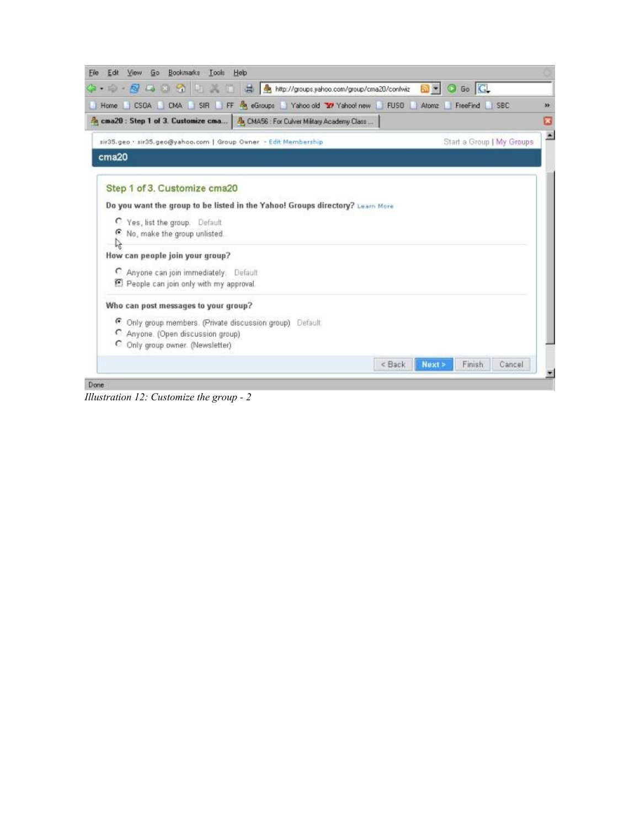| View Go Bookmarks Tools Help<br>Edit<br>File:                                                    |                |                           |    |
|--------------------------------------------------------------------------------------------------|----------------|---------------------------|----|
| 第一章 图 D ※ 名 U → 图 曲 http://groups.yahoo.com/group/cma20/confwiz <mark>B → O Go</mark> C          |                |                           |    |
| Home   CSOA   CMA   SIR   FF & eGroups   Yahoo old TV Yahoo Inew   FUSO   Atomz   FreeFind   SBC |                |                           | 35 |
| 8 cma20 : Step 1 of 3. Customize cma   8 CMA56 : For Culver Military Academy Class               |                |                           |    |
| sir35.geo · sir35.geo@yahoo.com   Group Owner - Edit Membership                                  |                | Start a Group   My Groups | ×  |
| cma20                                                                                            |                |                           |    |
| Step 1 of 3. Customize cma20                                                                     |                |                           |    |
| Do you want the group to be listed in the Yahoo! Groups directory? Learn More                    |                |                           |    |
| C Yes, list the group. Default                                                                   |                |                           |    |
| 6 No, make the group unlisted.                                                                   |                |                           |    |
| How can people join your group?                                                                  |                |                           |    |
| C Anyone can join immediately. Default                                                           |                |                           |    |
| E People can join only with my approval.                                                         |                |                           |    |
| Who can post messages to your group?                                                             |                |                           |    |
| C Only group members. (Private discussion group) Default.                                        |                |                           |    |
| C Anyone. (Open discussion group)                                                                |                |                           |    |
| C Only group owner. (Newsletter)                                                                 |                |                           |    |
|                                                                                                  | < Back<br>Next | Finish<br>Cancel          |    |
| Done                                                                                             |                |                           |    |

*Illustration 12: Customize the group - 2*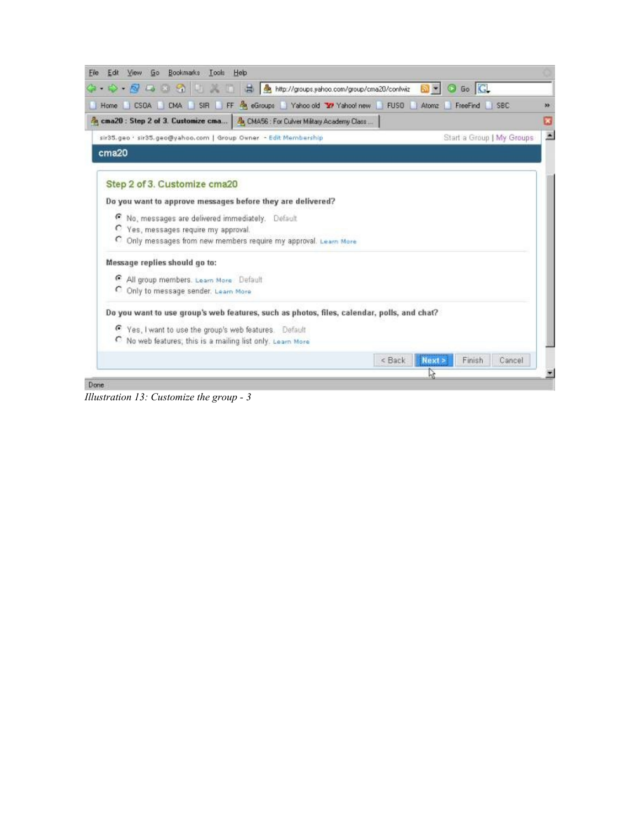

*Illustration 13: Customize the group - 3*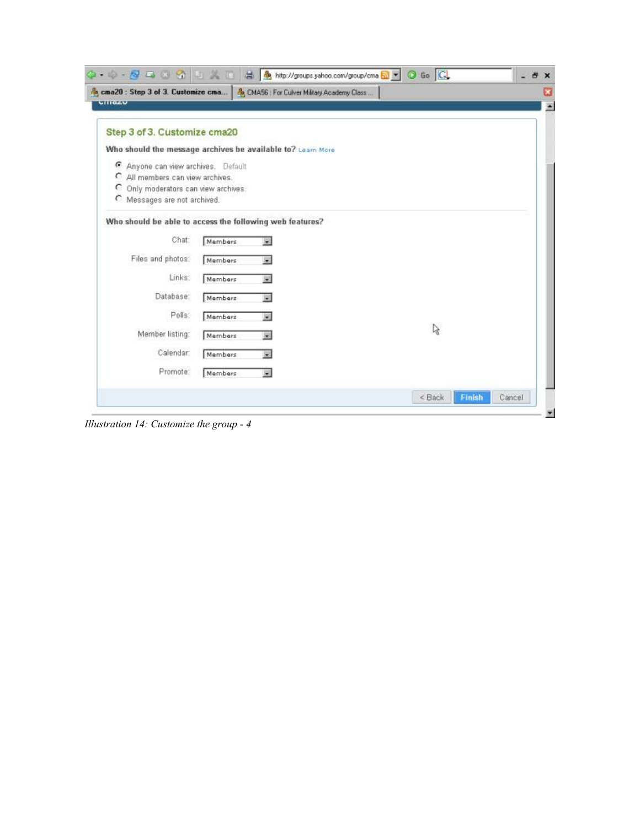| <b>UNITED</b>                        | 8 cma20 : Step 3 of 3. Customize cma   8 CMA56 : For Culver Miltary Academy Class |    |  |
|--------------------------------------|-----------------------------------------------------------------------------------|----|--|
| Step 3 of 3. Customize cma20         |                                                                                   |    |  |
|                                      | Who should the message archives be available to? Learn More                       |    |  |
| Anyone can view archives. Default    |                                                                                   |    |  |
| C All members can view archives.     |                                                                                   |    |  |
| C Only moderators can view archives. |                                                                                   |    |  |
| C Messages are not archived.         |                                                                                   |    |  |
| Chat<br>Files and photos:<br>Links:  | Members<br>Members<br>Members                                                     |    |  |
| Database:                            | Members                                                                           |    |  |
| Polls:                               | Members<br>W.                                                                     |    |  |
|                                      | Members<br>堅                                                                      | r, |  |
| Member listing:                      |                                                                                   |    |  |
| Calendar                             | Members                                                                           |    |  |
| Promote:                             | Members<br>飋                                                                      |    |  |

*Illustration 14: Customize the group - 4*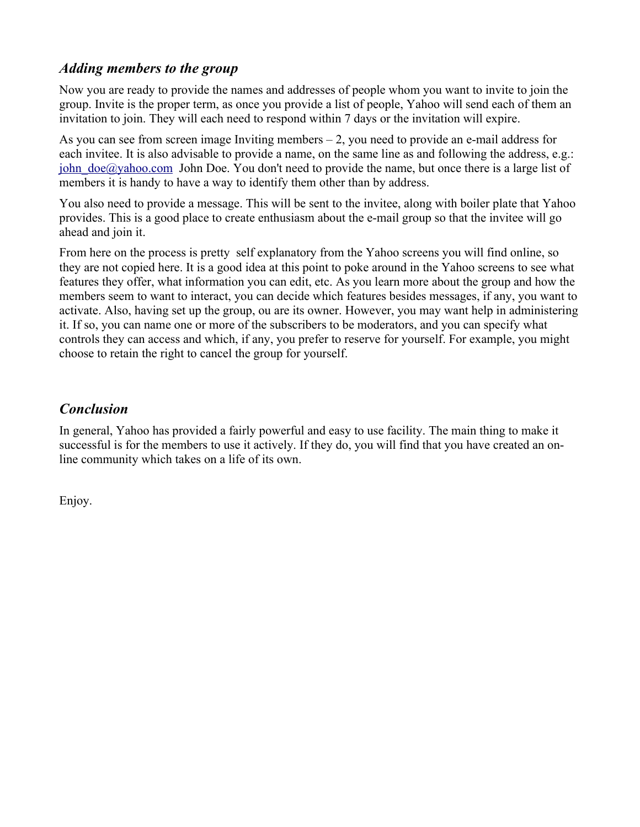### *Adding members to the group*

Now you are ready to provide the names and addresses of people whom you want to invite to join the group. Invite is the proper term, as once you provide a list of people, Yahoo will send each of them an invitation to join. They will each need to respond within 7 days or the invitation will expire.

As you can see from screen image Inviting members – 2, you need to provide an e-mail address for each invitee. It is also advisable to provide a name, on the same line as and following the address, e.g.: john  $\text{doe}(a)$  vahoo.com John Doe. You don't need to provide the name, but once there is a large list of members it is handy to have a way to identify them other than by address.

You also need to provide a message. This will be sent to the invitee, along with boiler plate that Yahoo provides. This is a good place to create enthusiasm about the e-mail group so that the invitee will go ahead and join it.

From here on the process is pretty self explanatory from the Yahoo screens you will find online, so they are not copied here. It is a good idea at this point to poke around in the Yahoo screens to see what features they offer, what information you can edit, etc. As you learn more about the group and how the members seem to want to interact, you can decide which features besides messages, if any, you want to activate. Also, having set up the group, ou are its owner. However, you may want help in administering it. If so, you can name one or more of the subscribers to be moderators, and you can specify what controls they can access and which, if any, you prefer to reserve for yourself. For example, you might choose to retain the right to cancel the group for yourself.

## *Conclusion*

In general, Yahoo has provided a fairly powerful and easy to use facility. The main thing to make it successful is for the members to use it actively. If they do, you will find that you have created an online community which takes on a life of its own.

Enjoy.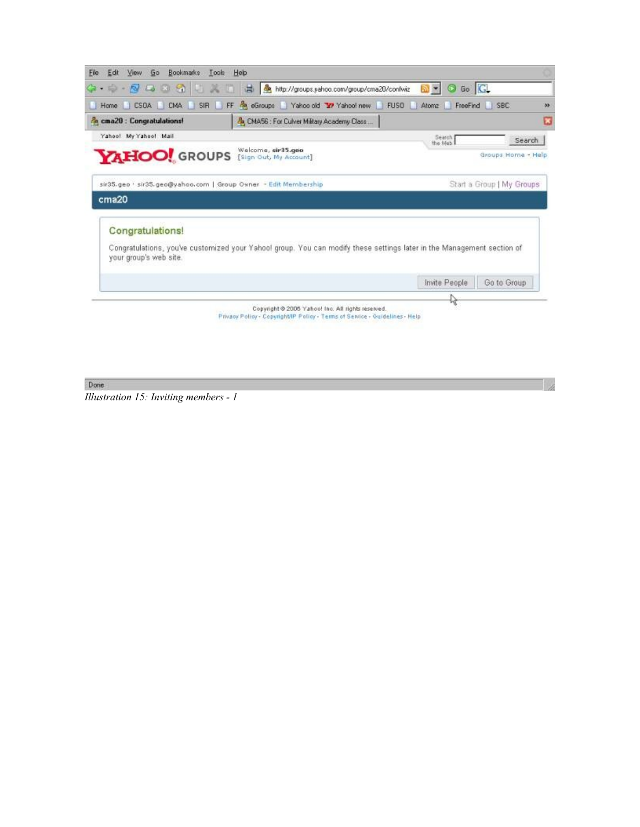

Done

*Illustration 15: Inviting members - 1*